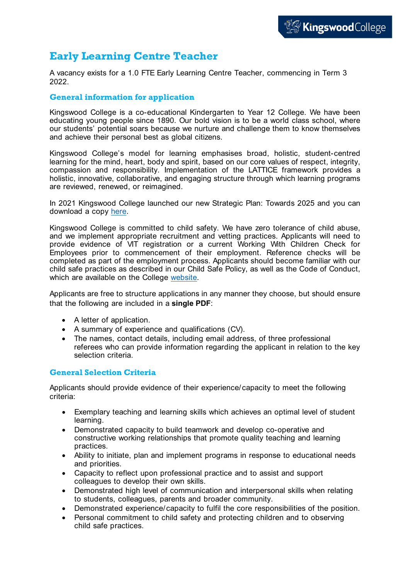## **Early Learning Centre Teacher**

A vacancy exists for a 1.0 FTE Early Learning Centre Teacher, commencing in Term 3 2022.

## **General information for application**

Kingswood College is a co-educational Kindergarten to Year 12 College. We have been educating young people since 1890. Our bold vision is to be a world class school, where our students' potential soars because we nurture and challenge them to know themselves and achieve their personal best as global citizens.

Kingswood College's model for learning emphasises broad, holistic, student-centred learning for the mind, heart, body and spirit, based on our core values of respect, integrity, compassion and responsibility. Implementation of the LATTICE framework provides a holistic, innovative, collaborative, and engaging structure through which learning programs are reviewed, renewed, or reimagined.

In 2021 Kingswood College launched our new Strategic Plan: Towards 2025 and you can download a copy [here.](https://www.kingswoodcollege.vic.edu.au/wp-content/uploads/2021/06/Strategic-Plan-FINAL-1.pdf)

Kingswood College is committed to child safety. We have zero tolerance of child abuse, and we implement appropriate recruitment and vetting practices. Applicants will need to provide evidence of VIT registration or a current Working With Children Check for Employees prior to commencement of their employment. Reference checks will be completed as part of the employment process. Applicants should become familiar with our child safe practices as described in our Child Safe Policy, as well as the Code of Conduct, which are available on the College [website.](https://www.kingswoodcollege.vic.edu.au/policy)

Applicants are free to structure applications in any manner they choose, but should ensure that the following are included in a **single PDF**:

- A letter of application.
- A summary of experience and qualifications (CV).
- The names, contact details, including email address, of three professional referees who can provide information regarding the applicant in relation to the key selection criteria.

## **General Selection Criteria**

Applicants should provide evidence of their experience/capacity to meet the following criteria:

- Exemplary teaching and learning skills which achieves an optimal level of student learning.
- Demonstrated capacity to build teamwork and develop co-operative and constructive working relationships that promote quality teaching and learning practices.
- Ability to initiate, plan and implement programs in response to educational needs and priorities.
- Capacity to reflect upon professional practice and to assist and support colleagues to develop their own skills.
- Demonstrated high level of communication and interpersonal skills when relating to students, colleagues, parents and broader community.
- Demonstrated experience/capacity to fulfil the core responsibilities of the position.
- Personal commitment to child safety and protecting children and to observing child safe practices.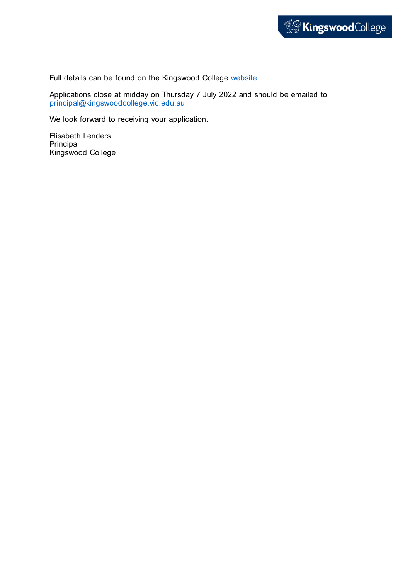

Full details can be found on the Kingswood College [website](https://www.kingswoodcollege.vic.edu.au/join-us/#st-employment)

Applications close at midday on Thursday 7 July 2022 and should be emailed to [principal@kingswoodcollege.vic.edu.au](mailto:principal@kingswoodcollege.vic.edu.au) 

We look forward to receiving your application.

Elisabeth Lenders Principal Kingswood College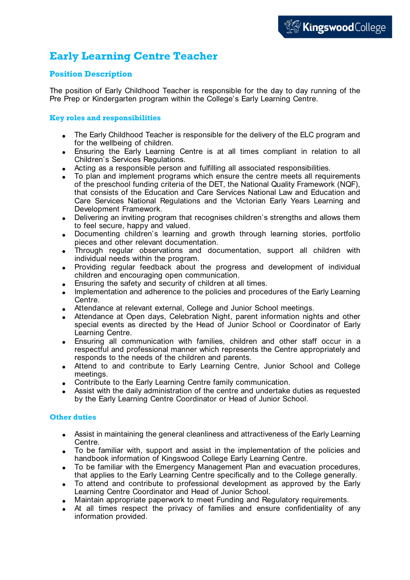# **Early Learning Centre Teacher**

## **Position Description**

The position of Early Childhood Teacher is responsible for the day to day running of the Pre Prep or Kindergarten program within the College's Early Learning Centre.

## **Key roles and responsibilities**

- The Early Childhood Teacher is responsible for the delivery of the ELC program and for the wellbeing of children.
- Ensuring the Early Learning Centre is at all times compliant in relation to all Children's Services Regulations.
- Acting as a responsible person and fulfilling all associated responsibilities.
- To plan and implement programs which ensure the centre meets all requirements of the preschool funding criteria of the DET, the National Quality Framework (NQF), that consists of the Education and Care Services National Law and Education and Care Services National Regulations and the Victorian Early Years Learning and Development Framework.
- Delivering an inviting program that recognises children's strengths and allows them to feel secure, happy and valued.
- Documenting children's learning and growth through learning stories, portfolio pieces and other relevant documentation.
- Through regular observations and documentation, support all children with individual needs within the program.
- Providing regular feedback about the progress and development of individual children and encouraging open communication.
- Ensuring the safety and security of children at all times.
- Implementation and adherence to the policies and procedures of the Early Learning Centre.
- Attendance at relevant external, College and Junior School meetings.
- Attendance at Open days, Celebration Night, parent information nights and other special events as directed by the Head of Junior School or Coordinator of Early Learning Centre.
- Ensuring all communication with families, children and other staff occur in a respectful and professional manner which represents the Centre appropriately and responds to the needs of the children and parents.
- Attend to and contribute to Early Learning Centre, Junior School and College meetings.
- Contribute to the Early Learning Centre family communication.
- Assist with the daily administration of the centre and undertake duties as requested by the Early Learning Centre Coordinator or Head of Junior School.

## **Other duties**

- Assist in maintaining the general cleanliness and attractiveness of the Early Learning Centre.
- To be familiar with, support and assist in the implementation of the policies and handbook information of Kingswood College Early Learning Centre.
- To be familiar with the Emergency Management Plan and evacuation procedures, that applies to the Early Learning Centre specifically and to the College generally.
- To attend and contribute to professional development as approved by the Early Learning Centre Coordinator and Head of Junior School.
- Maintain appropriate paperwork to meet Funding and Regulatory requirements.
- At all times respect the privacy of families and ensure confidentiality of any information provided.